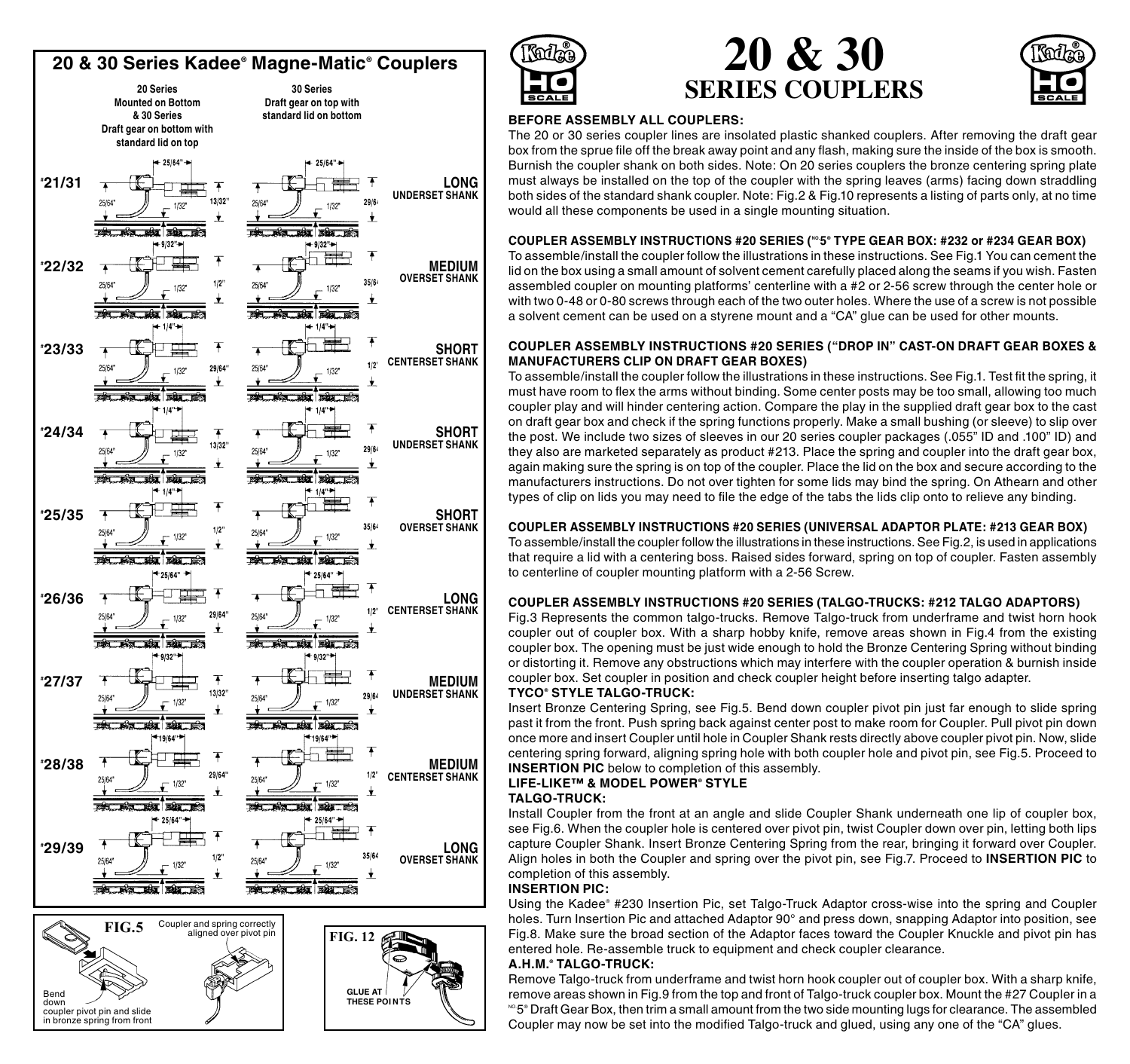



**GLUE AT THESE POI NTS**

Bend down

coupler pivot pin and slide in bronze spring from front







# **BEFORE ASSEMBLY ALL COUPLERS:**

The 20 or 30 series coupler lines are insolated plastic shanked couplers. After removing the draft gear box from the sprue file off the break away point and any flash, making sure the inside of the box is smooth. Burnish the coupler shank on both sides. Note: On 20 series couplers the bronze centering spring plate must always be installed on the top of the coupler with the spring leaves (arms) facing down straddling both sides of the standard shank coupler. Note: Fig.2 & Fig.10 represents a listing of parts only, at no time would all these components be used in a single mounting situation.

### **COUPLER ASSEMBLY INSTRUCTIONS #20 series (NO.5® Type Gear Box: #232 or #234 Gear Box)**

To assemble/install the coupler follow the illustrations in these instructions. See Fig.1 You can cement the lid on the box using a small amount of solvent cement carefully placed along the seams if you wish. Fasten assembled coupler on mounting platforms' centerline with a #2 or 2-56 screw through the center hole or with two 0-48 or 0-80 screws through each of the two outer holes. Where the use of a screw is not possible a solvent cement can be used on a styrene mount and a "CA" glue can be used for other mounts.

## **COUPLER ASSEMBLY INSTRUCTIONS #20 series ("drop in" cast-on draft gear boxes & manufacturers clip on draft gear boxes)**

To assemble/install the coupler follow the illustrations in these instructions. See Fig.1. Test fit the spring, it must have room to flex the arms without binding. Some center posts may be too small, allowing too much coupler play and will hinder centering action. Compare the play in the supplied draft gear box to the cast on draft gear box and check if the spring functions properly. Make a small bushing (or sleeve) to slip over the post. We include two sizes of sleeves in our 20 series coupler packages (.055" ID and .100" ID) and they also are marketed separately as product #213. Place the spring and coupler into the draft gear box, again making sure the spring is on top of the coupler. Place the lid on the box and secure according to the manufacturers instructions. Do not over tighten for some lids may bind the spring. On Athearn and other types of clip on lids you may need to file the edge of the tabs the lids clip onto to relieve any binding.

# **COUPLER ASSEMBLY INSTRUCTIONS #20 series (Universal Adaptor Plate: #213 Gear Box)**

To assemble/install the coupler follow the illustrations in these instructions. See Fig.2, is used in applications that require a lid with a centering boss. Raised sides forward, spring on top of coupler. Fasten assembly to centerline of coupler mounting platform with a 2-56 Screw.

## **COUPLER ASSEMBLY INSTRUCTIONS #20 series (TALGO-TRUCKs: #212 Talgo Adaptors)**

Fig.3 Represents the common talgo-trucks. Remove Talgo-truck from underframe and twist horn hook coupler out of coupler box. With a sharp hobby knife, remove areas shown in Fig.4 from the existing coupler box. The opening must be just wide enough to hold the Bronze Centering Spring without binding or distorting it. Remove any obstructions which may interfere with the coupler operation & burnish inside coupler box. Set coupler in position and check coupler height before inserting talgo adapter.

### **Tyco® style TALGO-TRUCK:**

Insert Bronze Centering Spring, see Fig.5. Bend down coupler pivot pin just far enough to slide spring past it from the front. Push spring back against center post to make room for Coupler. Pull pivot pin down once more and insert Coupler until hole in Coupler Shank rests directly above coupler pivot pin. Now, slide centering spring forward, aligning spring hole with both coupler hole and pivot pin, see Fig.5. Proceed to **INSERTION PIC** below to completion of this assembly.

## **Life-Like™ & Model Power® style**

#### **TALGO-TRUCK:**

Install Coupler from the front at an angle and slide Coupler Shank underneath one lip of coupler box, see Fig.6. When the coupler hole is centered over pivot pin, twist Coupler down over pin, letting both lips capture Coupler Shank. Insert Bronze Centering Spring from the rear, bringing it forward over Coupler. Align holes in both the Coupler and spring over the pivot pin, see Fig.7. Proceed to **Insertion Pic** to completion of this assembly.

# **Insertion Pic:**

Using the Kadee® #230 Insertion Pic, set Talgo-Truck Adaptor cross-wise into the spring and Coupler holes. Turn Insertion Pic and attached Adaptor 90° and press down, snapping Adaptor into position, see Fig.8. Make sure the broad section of the Adaptor faces toward the Coupler Knuckle and pivot pin has entered hole. Re-assemble truck to equipment and check coupler clearance.

### **A.H.M.® TALGO-TRUCK:**

Remove Talgo-truck from underframe and twist horn hook coupler out of coupler box. With a sharp knife, remove areas shown in Fig.9 from the top and front of Talgo-truck coupler box. Mount the #27 Coupler in a  $^{\circ\circ}$ 5 $^{\circ}$  Draft Gear Box, then trim a small amount from the two side mounting lugs for clearance. The assembled Coupler may now be set into the modified Talgo-truck and glued, using any one of the "CA" glues.